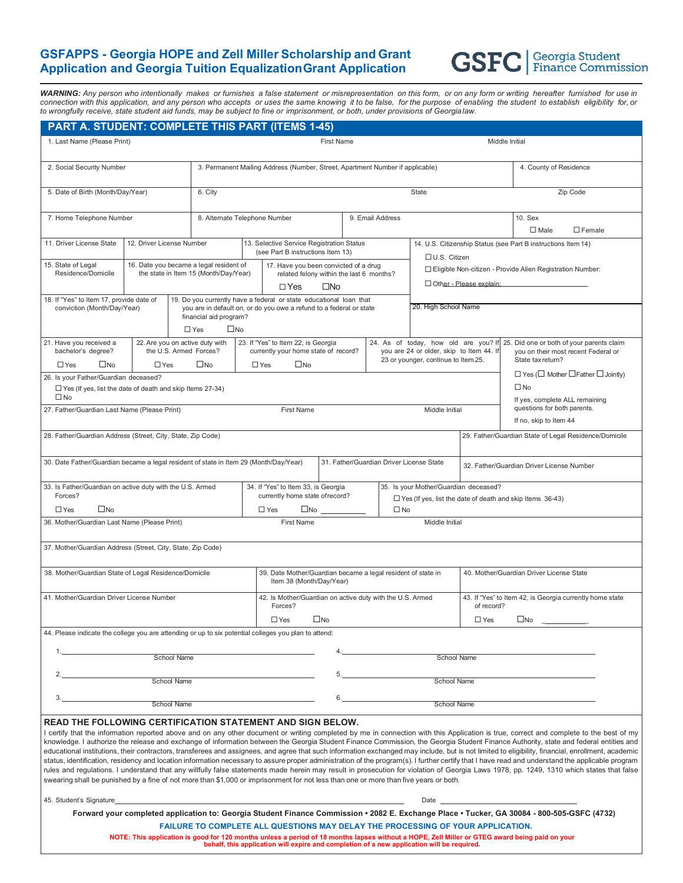## **GSFAPPS - Georgia HOPE and Zell Miller Scholarship and Grant Application and Georgia Tuition EqualizationGrant Application**



*WARNING: Any person who intentionally makes or furnishes a false statement or misrepresentation on this form, or on any form or writing hereafter furnished for use in*  connection with this application, and any person who accepts or uses the same knowing it to be false, for the purpose of enabling the student to establish eligibility for, or to wrongfully receive, state student aid funds, may be subject to fine or imprisonment, or both, under provisions of Georgialaw.

| PART A. STUDENT: COMPLETE THIS PART (ITEMS 1-45)                                                                                                                                                                                                                                                                                                                                                                                                                                                                                                                                                                                                                                                                                                                                                                                                                                                                                                                                                                                                                                                                                                                                                 |                                                                                                                                                                                                   |                                                                                                                                                                                                      |                                                                                |                                                              |                                                                                            |                                                                                                   |                      |                                                                  |                                                                                                                         |                                                                                                            |                                                                                                                                             |
|--------------------------------------------------------------------------------------------------------------------------------------------------------------------------------------------------------------------------------------------------------------------------------------------------------------------------------------------------------------------------------------------------------------------------------------------------------------------------------------------------------------------------------------------------------------------------------------------------------------------------------------------------------------------------------------------------------------------------------------------------------------------------------------------------------------------------------------------------------------------------------------------------------------------------------------------------------------------------------------------------------------------------------------------------------------------------------------------------------------------------------------------------------------------------------------------------|---------------------------------------------------------------------------------------------------------------------------------------------------------------------------------------------------|------------------------------------------------------------------------------------------------------------------------------------------------------------------------------------------------------|--------------------------------------------------------------------------------|--------------------------------------------------------------|--------------------------------------------------------------------------------------------|---------------------------------------------------------------------------------------------------|----------------------|------------------------------------------------------------------|-------------------------------------------------------------------------------------------------------------------------|------------------------------------------------------------------------------------------------------------|---------------------------------------------------------------------------------------------------------------------------------------------|
| 1. Last Name (Please Print)                                                                                                                                                                                                                                                                                                                                                                                                                                                                                                                                                                                                                                                                                                                                                                                                                                                                                                                                                                                                                                                                                                                                                                      |                                                                                                                                                                                                   | <b>First Name</b>                                                                                                                                                                                    |                                                                                |                                                              |                                                                                            |                                                                                                   |                      |                                                                  |                                                                                                                         | Middle Initial                                                                                             |                                                                                                                                             |
| 2. Social Security Number                                                                                                                                                                                                                                                                                                                                                                                                                                                                                                                                                                                                                                                                                                                                                                                                                                                                                                                                                                                                                                                                                                                                                                        |                                                                                                                                                                                                   |                                                                                                                                                                                                      |                                                                                |                                                              | 3. Permanent Mailing Address (Number, Street, Apartment Number if applicable)              |                                                                                                   |                      |                                                                  | 4. County of Residence                                                                                                  |                                                                                                            |                                                                                                                                             |
| 5. Date of Birth (Month/Day/Year)                                                                                                                                                                                                                                                                                                                                                                                                                                                                                                                                                                                                                                                                                                                                                                                                                                                                                                                                                                                                                                                                                                                                                                |                                                                                                                                                                                                   |                                                                                                                                                                                                      | 6. City<br>State                                                               |                                                              |                                                                                            |                                                                                                   |                      |                                                                  |                                                                                                                         | Zip Code                                                                                                   |                                                                                                                                             |
| 7. Home Telephone Number                                                                                                                                                                                                                                                                                                                                                                                                                                                                                                                                                                                                                                                                                                                                                                                                                                                                                                                                                                                                                                                                                                                                                                         |                                                                                                                                                                                                   |                                                                                                                                                                                                      | 8. Alternate Telephone Number                                                  |                                                              |                                                                                            |                                                                                                   | 9. Email Address     |                                                                  |                                                                                                                         | 10. Sex<br>$\square$ Male<br>$\Box$ Female                                                                 |                                                                                                                                             |
| 11. Driver License State                                                                                                                                                                                                                                                                                                                                                                                                                                                                                                                                                                                                                                                                                                                                                                                                                                                                                                                                                                                                                                                                                                                                                                         | 12. Driver License Number                                                                                                                                                                         |                                                                                                                                                                                                      | 13. Selective Service Registration Status<br>(see Part B instructions Item 13) |                                                              |                                                                                            |                                                                                                   |                      |                                                                  | 14. U.S. Citizenship Status (see Part B instructions Item 14)<br>$\Box$ U.S. Citizen                                    |                                                                                                            |                                                                                                                                             |
| 15. State of Legal<br>16. Date you became a legal resident of<br>Residence/Domicile                                                                                                                                                                                                                                                                                                                                                                                                                                                                                                                                                                                                                                                                                                                                                                                                                                                                                                                                                                                                                                                                                                              |                                                                                                                                                                                                   |                                                                                                                                                                                                      | the state in Item 15 (Month/Day/Year)<br>$\Box$ Yes                            |                                                              |                                                                                            | 17. Have you been convicted of a drug<br>related felony within the last 6 months?<br>$\square$ No |                      |                                                                  | □ Eligible Non-citizen - Provide Alien Registration Number:<br>□ Other - Please explain:                                |                                                                                                            |                                                                                                                                             |
| 18. If "Yes" to Item 17, provide date of<br>conviction (Month/Day/Year)                                                                                                                                                                                                                                                                                                                                                                                                                                                                                                                                                                                                                                                                                                                                                                                                                                                                                                                                                                                                                                                                                                                          | 19. Do you currently have a federal or state educational loan that<br>you are in default on, or do you owe a refund to a federal or state<br>financial aid program?<br>$\square$ No<br>$\Box$ Yes |                                                                                                                                                                                                      |                                                                                |                                                              |                                                                                            |                                                                                                   | 20. High School Name |                                                                  |                                                                                                                         |                                                                                                            |                                                                                                                                             |
| 21. Have you received a<br>bachelor's degree?<br>$\Box$ Yes<br>$\square$ No                                                                                                                                                                                                                                                                                                                                                                                                                                                                                                                                                                                                                                                                                                                                                                                                                                                                                                                                                                                                                                                                                                                      |                                                                                                                                                                                                   | 22. Are you on active duty with<br>23. If "Yes" to Item 22, is Georgia<br>the U.S. Armed Forces?<br>currently your home state of record?<br>$\Box$ Yes<br>$\square$ No<br>$\square$ No<br>$\Box$ Yes |                                                                                |                                                              |                                                                                            |                                                                                                   |                      |                                                                  | 24. As of today, how old are you? If<br>you are 24 or older, skip to Item 44. If<br>23 or younger, continue to Item 25. |                                                                                                            | 25. Did one or both of your parents claim<br>you on their most recent Federal or<br>State tax return?                                       |
| 26. Is your Father/Guardian deceased?<br>$\Box$ Yes (If yes, list the date of death and skip Items 27-34)<br>$\square$ No                                                                                                                                                                                                                                                                                                                                                                                                                                                                                                                                                                                                                                                                                                                                                                                                                                                                                                                                                                                                                                                                        |                                                                                                                                                                                                   |                                                                                                                                                                                                      |                                                                                |                                                              |                                                                                            |                                                                                                   |                      |                                                                  |                                                                                                                         | $\Box$ Yes ( $\Box$ Mother $\Box$ Father $\Box$ Jointly)<br>$\square$ No<br>If yes, complete ALL remaining |                                                                                                                                             |
| 27. Father/Guardian Last Name (Please Print)                                                                                                                                                                                                                                                                                                                                                                                                                                                                                                                                                                                                                                                                                                                                                                                                                                                                                                                                                                                                                                                                                                                                                     | First Name                                                                                                                                                                                        |                                                                                                                                                                                                      |                                                                                |                                                              |                                                                                            |                                                                                                   | Middle Initial       |                                                                  | questions for both parents.<br>If no, skip to Item 44                                                                   |                                                                                                            |                                                                                                                                             |
| 28. Father/Guardian Address (Street, City, State, Zip Code)<br>29. Father/Guardian State of Legal Residence/Domicile                                                                                                                                                                                                                                                                                                                                                                                                                                                                                                                                                                                                                                                                                                                                                                                                                                                                                                                                                                                                                                                                             |                                                                                                                                                                                                   |                                                                                                                                                                                                      |                                                                                |                                                              |                                                                                            |                                                                                                   |                      |                                                                  |                                                                                                                         |                                                                                                            |                                                                                                                                             |
| 30. Date Father/Guardian became a legal resident of state in Item 29 (Month/Day/Year)<br>31. Father/Guardian Driver License State<br>32. Father/Guardian Driver License Number                                                                                                                                                                                                                                                                                                                                                                                                                                                                                                                                                                                                                                                                                                                                                                                                                                                                                                                                                                                                                   |                                                                                                                                                                                                   |                                                                                                                                                                                                      |                                                                                |                                                              |                                                                                            |                                                                                                   |                      |                                                                  |                                                                                                                         |                                                                                                            |                                                                                                                                             |
| 33. Is Father/Guardian on active duty with the U.S. Armed<br>Forces?<br>$\square$ No<br>$\Box$ Yes                                                                                                                                                                                                                                                                                                                                                                                                                                                                                                                                                                                                                                                                                                                                                                                                                                                                                                                                                                                                                                                                                               | 34. If "Yes" to Item 33, is Georgia<br>currently home state of record?<br>$\Box$ Yes<br>□No                                                                                                       |                                                                                                                                                                                                      |                                                                                | 35. Is your Mother/Guardian deceased?<br>$\square$ No        |                                                                                            |                                                                                                   |                      | $\Box$ Yes (If yes, list the date of death and skip Items 36-43) |                                                                                                                         |                                                                                                            |                                                                                                                                             |
| 36. Mother/Guardian Last Name (Please Print)                                                                                                                                                                                                                                                                                                                                                                                                                                                                                                                                                                                                                                                                                                                                                                                                                                                                                                                                                                                                                                                                                                                                                     | <b>First Name</b>                                                                                                                                                                                 |                                                                                                                                                                                                      |                                                                                |                                                              | Middle Initial                                                                             |                                                                                                   |                      |                                                                  |                                                                                                                         |                                                                                                            |                                                                                                                                             |
| 37. Mother/Guardian Address (Street, City, State, Zip Code)                                                                                                                                                                                                                                                                                                                                                                                                                                                                                                                                                                                                                                                                                                                                                                                                                                                                                                                                                                                                                                                                                                                                      |                                                                                                                                                                                                   |                                                                                                                                                                                                      |                                                                                |                                                              |                                                                                            |                                                                                                   |                      |                                                                  |                                                                                                                         |                                                                                                            |                                                                                                                                             |
|                                                                                                                                                                                                                                                                                                                                                                                                                                                                                                                                                                                                                                                                                                                                                                                                                                                                                                                                                                                                                                                                                                                                                                                                  |                                                                                                                                                                                                   |                                                                                                                                                                                                      |                                                                                |                                                              |                                                                                            |                                                                                                   |                      |                                                                  |                                                                                                                         |                                                                                                            |                                                                                                                                             |
| 38. Mother/Guardian State of Legal Residence/Domicile                                                                                                                                                                                                                                                                                                                                                                                                                                                                                                                                                                                                                                                                                                                                                                                                                                                                                                                                                                                                                                                                                                                                            | Item 38 (Month/Day/Year)                                                                                                                                                                          |                                                                                                                                                                                                      |                                                                                | 39. Date Mother/Guardian became a legal resident of state in |                                                                                            |                                                                                                   |                      | 40. Mother/Guardian Driver License State                         |                                                                                                                         |                                                                                                            |                                                                                                                                             |
| 41. Mother/Guardian Driver License Number                                                                                                                                                                                                                                                                                                                                                                                                                                                                                                                                                                                                                                                                                                                                                                                                                                                                                                                                                                                                                                                                                                                                                        |                                                                                                                                                                                                   |                                                                                                                                                                                                      | Forces?                                                                        |                                                              |                                                                                            | 42. Is Mother/Guardian on active duty with the U.S. Armed                                         |                      |                                                                  |                                                                                                                         | 43. If "Yes" to Item 42, is Georgia currently home state<br>of record?                                     |                                                                                                                                             |
| $\square$ No<br>$\square$ Yes<br>$\square$ Yes<br>$\square$ No<br>44. Please indicate the college you are attending or up to six potential colleges you plan to attend:                                                                                                                                                                                                                                                                                                                                                                                                                                                                                                                                                                                                                                                                                                                                                                                                                                                                                                                                                                                                                          |                                                                                                                                                                                                   |                                                                                                                                                                                                      |                                                                                |                                                              |                                                                                            |                                                                                                   |                      |                                                                  |                                                                                                                         |                                                                                                            |                                                                                                                                             |
|                                                                                                                                                                                                                                                                                                                                                                                                                                                                                                                                                                                                                                                                                                                                                                                                                                                                                                                                                                                                                                                                                                                                                                                                  |                                                                                                                                                                                                   |                                                                                                                                                                                                      |                                                                                |                                                              |                                                                                            |                                                                                                   |                      |                                                                  |                                                                                                                         |                                                                                                            |                                                                                                                                             |
| <b>School Name</b>                                                                                                                                                                                                                                                                                                                                                                                                                                                                                                                                                                                                                                                                                                                                                                                                                                                                                                                                                                                                                                                                                                                                                                               |                                                                                                                                                                                                   |                                                                                                                                                                                                      |                                                                                |                                                              |                                                                                            |                                                                                                   | School Name          |                                                                  |                                                                                                                         |                                                                                                            |                                                                                                                                             |
| School Name                                                                                                                                                                                                                                                                                                                                                                                                                                                                                                                                                                                                                                                                                                                                                                                                                                                                                                                                                                                                                                                                                                                                                                                      |                                                                                                                                                                                                   |                                                                                                                                                                                                      |                                                                                |                                                              |                                                                                            | <b>School Name</b>                                                                                |                      |                                                                  |                                                                                                                         |                                                                                                            |                                                                                                                                             |
| <b>School Name</b>                                                                                                                                                                                                                                                                                                                                                                                                                                                                                                                                                                                                                                                                                                                                                                                                                                                                                                                                                                                                                                                                                                                                                                               |                                                                                                                                                                                                   |                                                                                                                                                                                                      |                                                                                |                                                              |                                                                                            |                                                                                                   | School Name          |                                                                  |                                                                                                                         |                                                                                                            |                                                                                                                                             |
| <b>READ THE FOLLOWING CERTIFICATION STATEMENT AND SIGN BELOW.</b><br>I certify that the information reported above and on any other document or writing completed by me in connection with this Application is true, correct and complete to the best of my<br>knowledge. I authorize the release and exchange of information between the Georgia Student Finance Commission, the Georgia Student Finance Authority, state and federal entities and<br>educational institutions, their contractors, transferees and assignees, and agree that such information exchanged may include, but is not limited to eligibility, financial, enrollment, academic<br>status, identification, residency and location information necessary to assure proper administration of the program(s). I further certify that I have read and understand the applicable program<br>rules and regulations. I understand that any willfully false statements made herein may result in prosecution for violation of Georgia Laws 1978, pp. 1249, 1310 which states that false<br>swearing shall be punished by a fine of not more than \$1,000 or imprisonment for not less than one or more than five years or both. |                                                                                                                                                                                                   |                                                                                                                                                                                                      |                                                                                |                                                              |                                                                                            |                                                                                                   |                      |                                                                  |                                                                                                                         |                                                                                                            |                                                                                                                                             |
| 45. Student's Signature                                                                                                                                                                                                                                                                                                                                                                                                                                                                                                                                                                                                                                                                                                                                                                                                                                                                                                                                                                                                                                                                                                                                                                          |                                                                                                                                                                                                   |                                                                                                                                                                                                      |                                                                                |                                                              |                                                                                            |                                                                                                   |                      |                                                                  | Date                                                                                                                    |                                                                                                            |                                                                                                                                             |
|                                                                                                                                                                                                                                                                                                                                                                                                                                                                                                                                                                                                                                                                                                                                                                                                                                                                                                                                                                                                                                                                                                                                                                                                  |                                                                                                                                                                                                   |                                                                                                                                                                                                      |                                                                                |                                                              |                                                                                            |                                                                                                   |                      |                                                                  |                                                                                                                         |                                                                                                            | Forward your completed application to: Georgia Student Finance Commission • 2082 E. Exchange Place • Tucker, GA 30084 - 800-505-GSFC (4732) |
| FAILURE TO COMPLETE ALL QUESTIONS MAY DELAY THE PROCESSING OF YOUR APPLICATION.<br>NOTE: This application is good for 120 months unless a period of 18 months lapses without a HOPE, Zell Miller or GTEG award being paid on your                                                                                                                                                                                                                                                                                                                                                                                                                                                                                                                                                                                                                                                                                                                                                                                                                                                                                                                                                                |                                                                                                                                                                                                   |                                                                                                                                                                                                      |                                                                                |                                                              |                                                                                            |                                                                                                   |                      |                                                                  |                                                                                                                         |                                                                                                            |                                                                                                                                             |
|                                                                                                                                                                                                                                                                                                                                                                                                                                                                                                                                                                                                                                                                                                                                                                                                                                                                                                                                                                                                                                                                                                                                                                                                  |                                                                                                                                                                                                   |                                                                                                                                                                                                      |                                                                                |                                                              | behalf, this application will expire and completion of a new application will be required. |                                                                                                   |                      |                                                                  |                                                                                                                         |                                                                                                            |                                                                                                                                             |